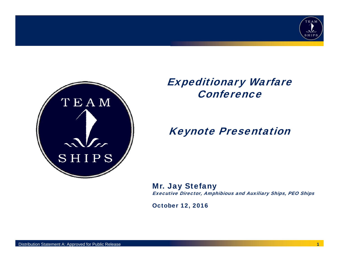



### Expeditionary Warfare **Conference**

### Keynote Presentation

Mr. Jay Stefany Executive Director, Amphibious and Auxiliary Ships, PEO Ships

October 12, 2016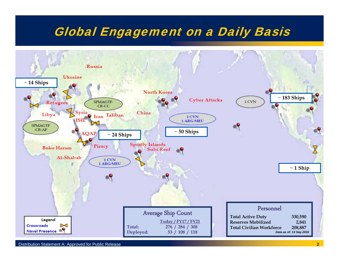## Global Engagement on a Daily Basis

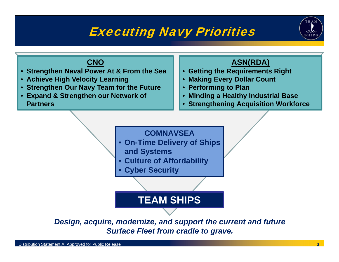## Executing Navy Priorities



#### **CNO**

- **Strengthen Naval Power At & From the Sea**
- **Achieve High Velocity Learning**
- **Strengthen Our Navy Team for the Future**
- **Expand & Strengthen our Network of Partners**

#### **ASN(RDA)**

- **Getting the Requirements Right**
- **Making Every Dollar Count**
- **Performing to Plan**
- **Minding a Healthy Industrial Base**
- **Strengthening Acquisition Workforce**



*Surface Fleet from cradle to grave.*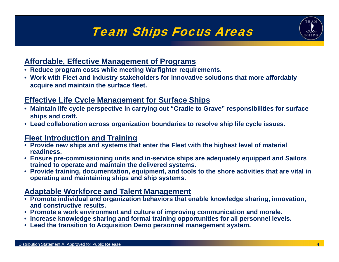# Team Ships Focus Areas



#### **Affordable, Effective Management of Programs**

- **Reduce program costs while meeting Warfighter requirements.**
- **Work with Fleet and Industry stakeholders for innovative solutions that more affordably acquire and maintain the surface fleet.**

#### **Effective Life Cycle Management for Surface Ships**

- **Maintain life cycle perspective in carrying out "Cradle to Grave" responsibilities for surface ships and craft.**
- **Lead collaboration across organization boundaries to resolve ship life cycle issues.**

#### **Fleet Introduction and Training**

- **Provide new ships and systems that enter the Fleet with the highest level of material readiness.**
- **Ensure pre-commissioning units and in-service ships are adequately equipped and Sailors trained to operate and maintain the delivered systems.**
- **Provide training, documentation, equipment, and tools to the shore activities that are vital in operating and maintaining ships and ship systems.**

#### **Adaptable Workforce and Talent Management**

- **Promote individual and organization behaviors that enable knowledge sharing, innovation, and constructive results.**
- **Promote a work environment and culture of improving communication and morale.**
- **Increase knowledge sharing and formal training opportunities for all personnel levels.**
- **Lead the transition to Acquisition Demo personnel management system.**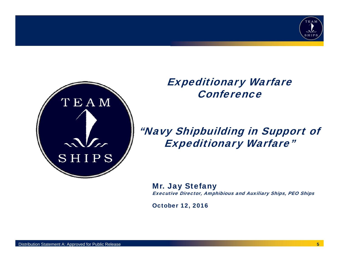



Expeditionary Warfare **Conference** 

### "Navy Shipbuilding in Support of Expeditionary Warfare"

Mr. Jay Stefany Executive Director, Amphibious and Auxiliary Ships, PEO Ships

October 12, 2016